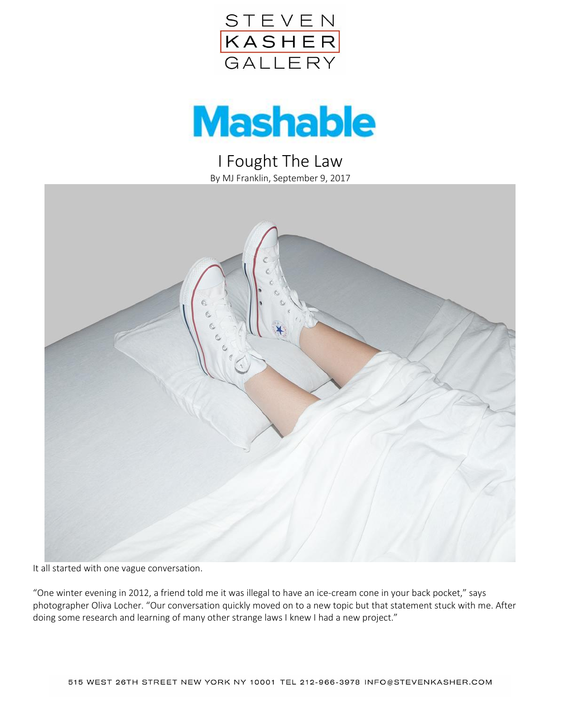



I Fought The Law By MJ Franklin, September 9, 2017



It all started with one vague conversation.

"One winter evening in 2012, a friend told me it was illegal to have an ice-cream cone in your back pocket," says photographer Oliva Locher. "Our conversation quickly moved on to a new topic but that statement stuck with me. After doing some research and learning of many other strange laws I knew I had a new project."